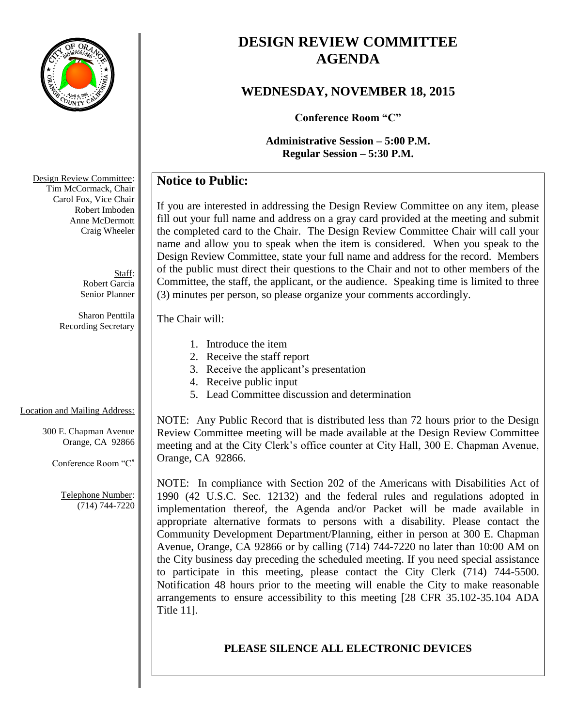

# **DESIGN REVIEW COMMITTEE AGENDA**

## **WEDNESDAY, NOVEMBER 18, 2015**

**Conference Room "C"**

**Administrative Session – 5:00 P.M. Regular Session – 5:30 P.M.**

## **Notice to Public:**

If you are interested in addressing the Design Review Committee on any item, please fill out your full name and address on a gray card provided at the meeting and submit the completed card to the Chair. The Design Review Committee Chair will call your name and allow you to speak when the item is considered. When you speak to the Design Review Committee, state your full name and address for the record. Members of the public must direct their questions to the Chair and not to other members of the Committee, the staff, the applicant, or the audience. Speaking time is limited to three (3) minutes per person, so please organize your comments accordingly.

#### The Chair will:

- 1. Introduce the item
- 2. Receive the staff report
- 3. Receive the applicant's presentation
- 4. Receive public input
- 5. Lead Committee discussion and determination

## Location and Mailing Address:

300 E. Chapman Avenue Orange, CA 92866

Conference Room "C"

Telephone Number: (714) 744-7220

NOTE: Any Public Record that is distributed less than 72 hours prior to the Design Review Committee meeting will be made available at the Design Review Committee meeting and at the City Clerk's office counter at City Hall, 300 E. Chapman Avenue, Orange, CA 92866.

NOTE: In compliance with Section 202 of the Americans with Disabilities Act of 1990 (42 U.S.C. Sec. 12132) and the federal rules and regulations adopted in implementation thereof, the Agenda and/or Packet will be made available in appropriate alternative formats to persons with a disability. Please contact the Community Development Department/Planning, either in person at 300 E. Chapman Avenue, Orange, CA 92866 or by calling (714) 744-7220 no later than 10:00 AM on the City business day preceding the scheduled meeting. If you need special assistance to participate in this meeting, please contact the City Clerk (714) 744-5500. Notification 48 hours prior to the meeting will enable the City to make reasonable arrangements to ensure accessibility to this meeting [28 CFR 35.102-35.104 ADA Title 11].

## **PLEASE SILENCE ALL ELECTRONIC DEVICES**

Design Review Committee: Tim McCormack, Chair Carol Fox, Vice Chair Robert Imboden Anne McDermott Craig Wheeler

> Staff: Robert Garcia Senior Planner

Sharon Penttila Recording Secretary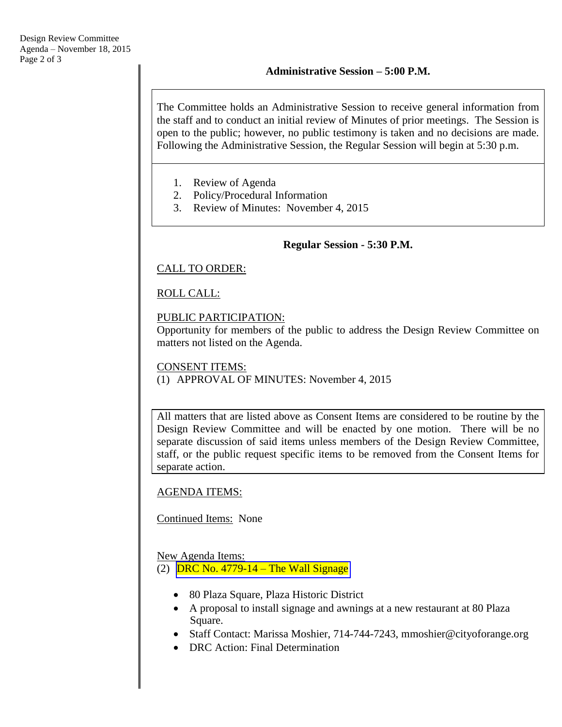The Committee holds an Administrative Session to receive general information from the staff and to conduct an initial review of Minutes of prior meetings. The Session is open to the public; however, no public testimony is taken and no decisions are made. Following the Administrative Session, the Regular Session will begin at 5:30 p.m.

- 1. Review of Agenda
- 2. Policy/Procedural Information
- 3. Review of Minutes: November 4, 2015

#### **Regular Session - 5:30 P.M.**

### CALL TO ORDER:

## ROLL CALL:

#### PUBLIC PARTICIPATION:

Opportunity for members of the public to address the Design Review Committee on matters not listed on the Agenda.

#### CONSENT ITEMS: (1) APPROVAL OF MINUTES: November 4, 2015

All matters that are listed above as Consent Items are considered to be routine by the Design Review Committee and will be enacted by one motion. There will be no separate discussion of said items unless members of the Design Review Committee, staff, or the public request specific items to be removed from the Consent Items for separate action.

### AGENDA ITEMS:

### Continued Items: None

### New Agenda Items:

(2)  $DRC No. 4779-14 - The Wall Signage$  $DRC No. 4779-14 - The Wall Signage$ 

- 80 Plaza Square, Plaza Historic District
- A proposal to install signage and awnings at a new restaurant at 80 Plaza Square.
- Staff Contact: Marissa Moshier, 714-744-7243, mmoshier@cityoforange.org
- DRC Action: Final Determination